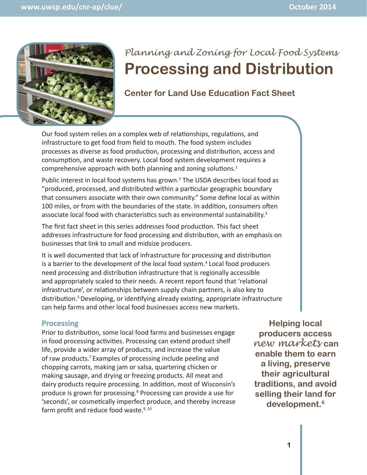

# *Planning and Zoning for Local Food Systems*  **Processing and Distribution**

## **Center for Land Use Education Fact Sheet**

Our food system relies on a complex web of relationships, regulations, and infrastructure to get food from field to mouth. The food system includes processes as diverse as food production, processing and distribution, access and consumption, and waste recovery. Local food system development requires a comprehensive approach with both planning and zoning solutions. $1$ 

Public interest in local food systems has grown.<sup>2</sup> The USDA describes local food as "produced, processed, and distributed within a particular geographic boundary that consumers associate with their own community." Some define local as within 100 miles, or from with the boundaries of the state. In addition, consumers often associate local food with characteristics such as environmental sustainability. $3$ 

The first fact sheet in this series addresses food production. This fact sheet addresses infrastructure for food processing and distribution, with an emphasis on businesses that link to small and midsize producers.

It is well documented that lack of infrastructure for processing and distribution is a barrier to the development of the local food system.<sup>4</sup> Local food producers need processing and distribution infrastructure that is regionally accessible and appropriately scaled to their needs. A recent report found that 'relational infrastructure', or relationships between supply chain partners, is also key to distribution.<sup>5</sup> Developing, or identifying already existing, appropriate infrastructure can help farms and other local food businesses access new markets.

#### **Processing rocessing**

Prior to distribution, some local food farms and businesses engage in food processing activities. Processing can extend product shelf life, provide a wider array of products, and increase the value of raw products.7 Examples of processing include peeling and chopping carrots, making jam or salsa, quartering chicken or making sausage, and drying or freezing products. All meat and dairy products require processing. In addition, most of Wisconsin's produce is grown for processing.<sup>8</sup> Processing can provide a use for 'seconds', or cosmetically imperfect produce, and thereby increase farm profit and reduce food waste. $9,10$ 

**Helping local producers access** *new markets* **can enable them to earn a living, preserve their agricultural traditions, and avoid selling their land for development.6**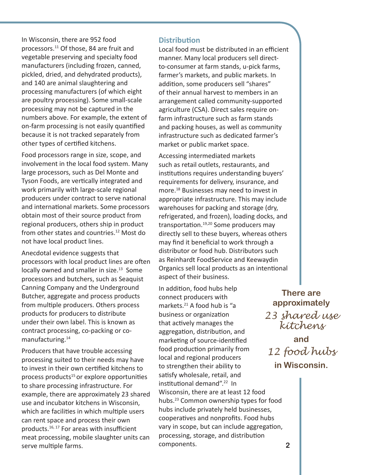In Wisconsin, there are 952 food processors.11 Of those, 84 are fruit and vegetable preserving and specialty food manufacturers (including frozen, canned, pickled, dried, and dehydrated products), and 140 are animal slaughtering and processing manufacturers (of which eight are poultry processing). Some small-scale processing may not be captured in the numbers above. For example, the extent of on-farm processing is not easily quantified because it is not tracked separately from other types of certified kitchens.

Food processors range in size, scope, and involvement in the local food system. Many large processors, such as Del Monte and Tyson Foods, are vertically integrated and work primarily with large-scale regional producers under contract to serve national and international markets. Some processors obtain most of their source product from regional producers, others ship in product from other states and countries.<sup>12</sup> Most do not have local product lines.

Anecdotal evidence suggests that processors with local product lines are often locally owned and smaller in size.<sup>13</sup> Some processors and butchers, such as Seaquist Canning Company and the Underground Butcher, aggregate and process products from multiple producers. Others process products for producers to distribute under their own label. This is known as contract processing, co-packing or comanufacturing.14

Producers that have trouble accessing processing suited to their needs may have to invest in their own certified kitchens to process products<sup>15</sup> or explore opportunities to share processing infrastructure. For example, there are approximately 23 shared use and incubator kitchens in Wisconsin, which are facilities in which multiple users can rent space and process their own products. $16, 17$  For areas with insufficient meat processing, mobile slaughter units can serve multiple farms.

#### **Distribution**

Local food must be distributed in an efficient manner. Many local producers sell directto-consumer at farm stands, u-pick farms, farmer's markets, and public markets. In addition, some producers sell "shares" of their annual harvest to members in an arrangement called community-supported agriculture (CSA). Direct sales require onfarm infrastructure such as farm stands and packing houses, as well as community infrastructure such as dedicated farmer's market or public market space.

Accessing intermediated markets such as retail outlets, restaurants, and institutions requires understanding buyers' requirements for delivery, insurance, and more.18 Businesses may need to invest in appropriate infrastructure. This may include warehouses for packing and storage (dry, refrigerated, and frozen), loading docks, and transportation.<sup>19,20</sup> Some producers may directly sell to these buyers, whereas others may find it beneficial to work through a distributor or food hub. Distributors such as Reinhardt FoodService and Keewaydin Organics sell local products as an intentional aspect of their business.

In addition, food hubs help connect producers with markets.<sup>21</sup> A food hub is "a business or organization that actively manages the aggregation, distribution, and marketing of source-identified food production primarily from local and regional producers to strengthen their ability to satisfy wholesale, retail, and institutional demand".<sup>22</sup> In Wisconsin, there are at least 12 food hubs.23 Common ownership types for food hubs include privately held businesses, cooperatives and nonprofits. Food hubs vary in scope, but can include aggregation, processing, storage, and distribution components.

**There are approximately**  *23 shared use kitchens*

**and** *12 food hubs*  **in Wisconsin.**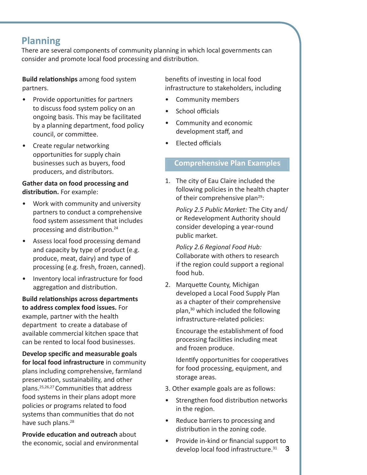# **Planning**

There are several components of community planning in which local governments can consider and promote local food processing and distribution.

**Build relationships** among food system partners.

- Provide opportunities for partners to discuss food system policy on an ongoing basis. This may be facilitated by a planning department, food policy council, or committee.
- Create regular networking opportunities for supply chain businesses such as buyers, food producers, and distributors.

#### **Gather data on food processing and distribution.** For example:

- Work with community and university partners to conduct a comprehensive food system assessment that includes processing and distribution.<sup>24</sup>
- Assess local food processing demand and capacity by type of product (e.g. produce, meat, dairy) and type of processing (e.g. fresh, frozen, canned).
- Inventory local infrastructure for food aggregation and distribution.

**Build relaƟ onships across departments to address complex food issues.** For example, partner with the health department to create a database of available commercial kitchen space that can be rented to local food businesses.

**Develop specific and measurable goals for local food infrastructure** in community plans including comprehensive, farmland preservation, sustainability, and other plans.<sup>25,26,27</sup> Communities that address food systems in their plans adopt more policies or programs related to food systems than communities that do not have such plans.<sup>28</sup>

**Provide education and outreach about** the economic, social and environmental benefits of investing in local food infrastructure to stakeholders, including

- Community members
- School officials
- Community and economic development staff, and
- **Flected officials**

### **Comprehensive Plan Examples**

1. The city of Eau Claire included the following policies in the health chapter of their comprehensive plan<sup>29</sup>:

*Policy 2.5 Public Market:* The City and/ or Redevelopment Authority should consider developing a year-round public market.

*Policy 2.6 Regional Food Hub:*  Collaborate with others to research if the region could support a regional food hub.

2. Marquette County, Michigan developed a Local Food Supply Plan as a chapter of their comprehensive plan,<sup>30</sup> which included the following infrastructure-related policies:

Encourage the establishment of food processing facilities including meat and frozen produce.

Identify opportunities for cooperatives for food processing, equipment, and storage areas.

- 3. Other example goals are as follows:
- Strengthen food distribution networks in the region.
- Reduce barriers to processing and distribution in the zoning code.
- Provide in-kind or financial support to develop local food infrastructure.31 **3**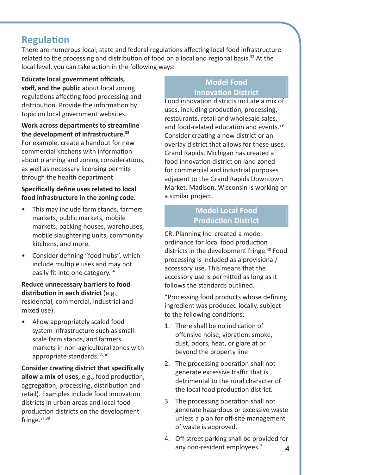# **Regulation**

There are numerous local, state and federal regulations affecting local food infrastructure related to the processing and distribution of food on a local and regional basis.<sup>32</sup> At the local level, you can take action in the following ways:

**Educate local government offi cials, staff , and the public** about local zoning regulations affecting food processing and distribution. Provide the information by topic on local government websites.

#### **Work across departments to streamline the development of infrastructure.33**

For example, create a handout for new commercial kitchens with information about planning and zoning considerations, as well as necessary licensing permits through the health department.

#### **Specifically define uses related to local food infrastructure in the zoning code.**

- This may include farm stands, farmers markets, public markets, mobile markets, packing houses, warehouses, mobile slaughtering units, community kitchens, and more.
- Consider defining "food hubs", which include multiple uses and may not easily fit into one category. $34$

**Reduce unnecessary barriers to food distribuƟ on in each district** (e.g., residential, commercial, industrial and mixed use).

• Allow appropriately scaled food system infrastructure such as smallscale farm stands, and farmers markets in non-agricultural zones with appropriate standards.35,36

**Consider creating district that specifically** allow a mix of uses, e.g., food production, aggregation, processing, distribution and retail). Examples include food innovation districts in urban areas and local food production districts on the development fringe.37,38

### **Model Food InnovaƟon District**

Food innovation districts include a mix of uses, including production, processing, restaurants, retail and wholesale sales, and food-related education and events.<sup>39</sup> Consider creating a new district or an overlay district that allows for these uses. Grand Rapids, Michigan has created a food innovation district on land zoned for commercial and industrial purposes adjacent to the Grand Rapids Downtown Market. Madison, Wisconsin is working on a similar project.

### **Model Local Food Production District**

CR. Planning Inc. created a model ordinance for local food production districts in the development fringe.<sup>40</sup> Food processing is included as a provisional/ accessory use. This means that the accessory use is permitted as long as it follows the standards outlined.

"Processing food products whose defining ingredient was produced locally, subject to the following conditions:

- 1. There shall be no indication of offensive noise, vibration, smoke, dust, odors, heat, or glare at or beyond the property line
- 2. The processing operation shall not generate excessive traffic that is detrimental to the rural character of the local food production district.
- 3. The processing operation shall not generate hazardous or excessive waste unless a plan for off-site management of waste is approved.
- 4. Off-street parking shall be provided for any non-resident employees." **4**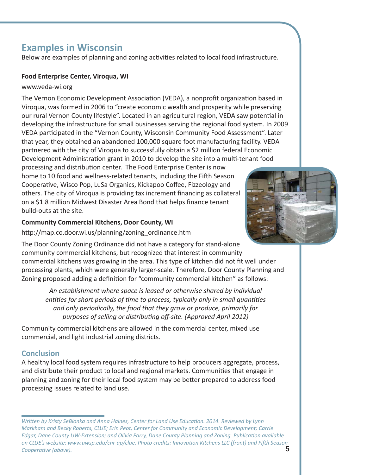# **Examples in Wisconsin**

Below are examples of planning and zoning activities related to local food infrastructure.

#### **Food Enterprise Center, Viroqua, WI**

#### www.veda-wi.org

The Vernon Economic Development Association (VEDA), a nonprofit organization based in Viroqua, was formed in 2006 to "create economic wealth and prosperity while preserving our rural Vernon County lifestyle". Located in an agricultural region, VEDA saw potential in developing the infrastructure for small businesses serving the regional food system. In 2009 VEDA participated in the "Vernon County, Wisconsin Community Food Assessment". Later that year, they obtained an abandoned 100,000 square foot manufacturing facility. VEDA partnered with the city of Viroqua to successfully obtain a \$2 million federal Economic Development Administration grant in 2010 to develop the site into a multi-tenant food

processing and distribution center. The Food Enterprise Center is now home to 10 food and wellness-related tenants, including the Fifth Season Cooperative, Wisco Pop, LuSa Organics, Kickapoo Coffee, Fizzeology and others. The city of Viroqua is providing tax increment financing as collateral on a \$1.8 million Midwest Disaster Area Bond that helps finance tenant build-outs at the site.

#### **Community Commercial Kitchens, Door County, WI**

http://map.co.door.wi.us/planning/zoning\_ordinance.htm

The Door County Zoning Ordinance did not have a category for stand-alone community commercial kitchens, but recognized that interest in community commercial kitchens was growing in the area. This type of kitchen did not fit well under processing plants, which were generally larger-scale. Therefore, Door County Planning and Zoning proposed adding a definition for "community commercial kitchen" as follows:

*An establishment where space is leased or otherwise shared by individual entities for short periods of time to process, typically only in small quantities and only periodically, the food that they grow or produce, primarily for purposes of selling or distribuƟ ng off -site. (Approved April 2012)*

Community commercial kitchens are allowed in the commercial center, mixed use commercial, and light industrial zoning districts.

# **Conclusion**

A healthy local food system requires infrastructure to help producers aggregate, process, and distribute their product to local and regional markets. Communities that engage in planning and zoning for their local food system may be better prepared to address food processing issues related to land use.

*WriƩ en by Kristy SeBlonka and Anna Haines, Center for Land Use EducaƟ on. 2014. Reviewed by Lynn Markham and Becky Roberts, CLUE; Erin Peot, Center for Community and Economic Development; Carrie Edgar, Dane County UW-Extension; and Olivia Parry, Dane County Planning and Zoning. Publication available on CLUE's website: www.uwsp.edu/cnr-ap/clue. Photo credits: InnovaƟ on Kitchens LLC (front) and FiŌ h Season Cooperative (above).*